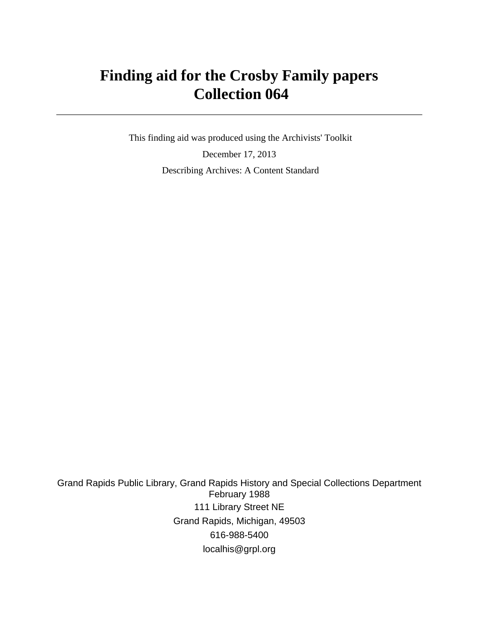# **Finding aid for the Crosby Family papers Collection 064**

 This finding aid was produced using the Archivists' Toolkit December 17, 2013 Describing Archives: A Content Standard

Grand Rapids Public Library, Grand Rapids History and Special Collections Department February 1988 111 Library Street NE Grand Rapids, Michigan, 49503 616-988-5400 localhis@grpl.org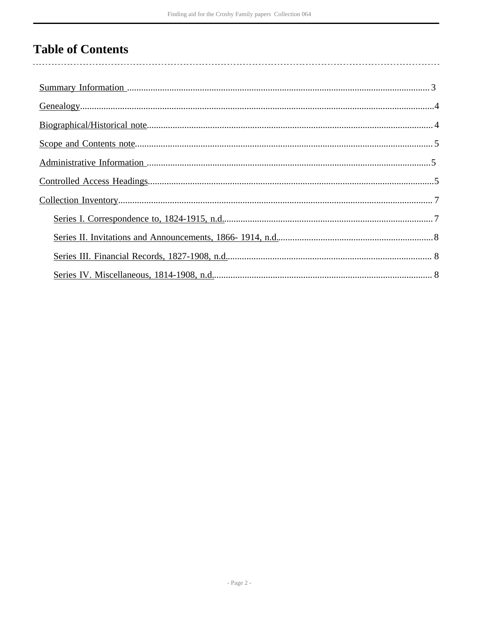# **Table of Contents**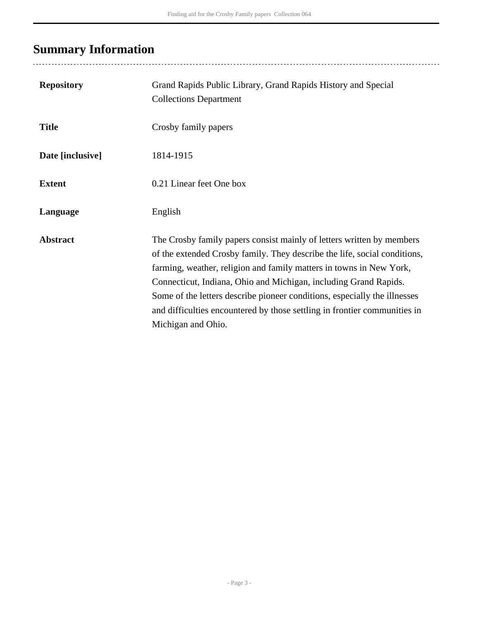# <span id="page-2-0"></span>**Summary Information**

| <b>Repository</b> | Grand Rapids Public Library, Grand Rapids History and Special<br><b>Collections Department</b>                                                                                                                                                                                                                                                                                                                                                                                |
|-------------------|-------------------------------------------------------------------------------------------------------------------------------------------------------------------------------------------------------------------------------------------------------------------------------------------------------------------------------------------------------------------------------------------------------------------------------------------------------------------------------|
| <b>Title</b>      | Crosby family papers                                                                                                                                                                                                                                                                                                                                                                                                                                                          |
| Date [inclusive]  | 1814-1915                                                                                                                                                                                                                                                                                                                                                                                                                                                                     |
| <b>Extent</b>     | 0.21 Linear feet One box                                                                                                                                                                                                                                                                                                                                                                                                                                                      |
| Language          | English                                                                                                                                                                                                                                                                                                                                                                                                                                                                       |
| <b>Abstract</b>   | The Crosby family papers consist mainly of letters written by members<br>of the extended Crosby family. They describe the life, social conditions,<br>farming, weather, religion and family matters in towns in New York,<br>Connecticut, Indiana, Ohio and Michigan, including Grand Rapids.<br>Some of the letters describe pioneer conditions, especially the illnesses<br>and difficulties encountered by those settling in frontier communities in<br>Michigan and Ohio. |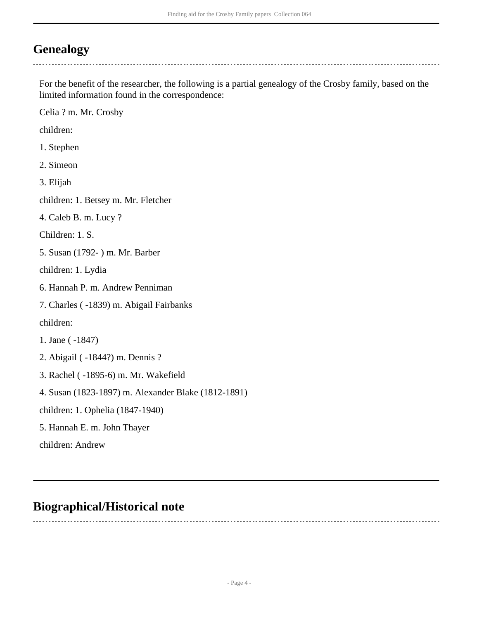## <span id="page-3-0"></span>**Genealogy**

For the benefit of the researcher, the following is a partial genealogy of the Crosby family, based on the limited information found in the correspondence:

Celia ? m. Mr. Crosby

children:

- 1. Stephen
- 2. Simeon

3. Elijah

children: 1. Betsey m. Mr. Fletcher

4. Caleb B. m. Lucy ?

Children: 1. S.

5. Susan (1792- ) m. Mr. Barber

children: 1. Lydia

6. Hannah P. m. Andrew Penniman

7. Charles ( -1839) m. Abigail Fairbanks

children:

1. Jane ( -1847)

2. Abigail ( -1844?) m. Dennis ?

3. Rachel ( -1895-6) m. Mr. Wakefield

4. Susan (1823-1897) m. Alexander Blake (1812-1891)

children: 1. Ophelia (1847-1940)

5. Hannah E. m. John Thayer

children: Andrew

### <span id="page-3-1"></span>**Biographical/Historical note**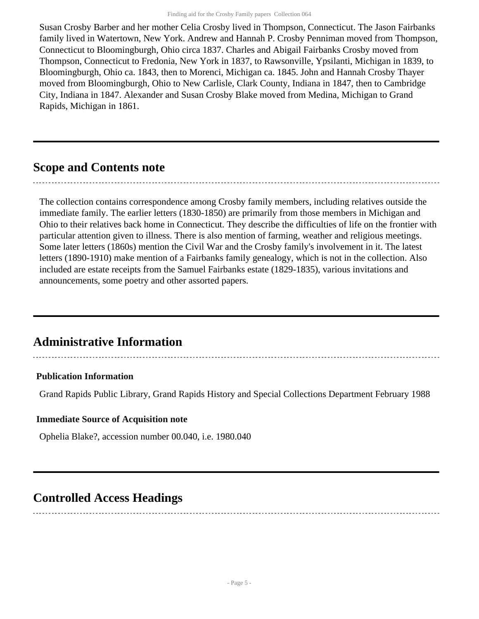Susan Crosby Barber and her mother Celia Crosby lived in Thompson, Connecticut. The Jason Fairbanks family lived in Watertown, New York. Andrew and Hannah P. Crosby Penniman moved from Thompson, Connecticut to Bloomingburgh, Ohio circa 1837. Charles and Abigail Fairbanks Crosby moved from Thompson, Connecticut to Fredonia, New York in 1837, to Rawsonville, Ypsilanti, Michigan in 1839, to Bloomingburgh, Ohio ca. 1843, then to Morenci, Michigan ca. 1845. John and Hannah Crosby Thayer moved from Bloomingburgh, Ohio to New Carlisle, Clark County, Indiana in 1847, then to Cambridge City, Indiana in 1847. Alexander and Susan Crosby Blake moved from Medina, Michigan to Grand Rapids, Michigan in 1861.

## <span id="page-4-0"></span>**Scope and Contents note**

The collection contains correspondence among Crosby family members, including relatives outside the immediate family. The earlier letters (1830-1850) are primarily from those members in Michigan and Ohio to their relatives back home in Connecticut. They describe the difficulties of life on the frontier with particular attention given to illness. There is also mention of farming, weather and religious meetings. Some later letters (1860s) mention the Civil War and the Crosby family's involvement in it. The latest letters (1890-1910) make mention of a Fairbanks family genealogy, which is not in the collection. Also included are estate receipts from the Samuel Fairbanks estate (1829-1835), various invitations and announcements, some poetry and other assorted papers.

## <span id="page-4-1"></span>**Administrative Information**

#### **Publication Information**

Grand Rapids Public Library, Grand Rapids History and Special Collections Department February 1988

#### **Immediate Source of Acquisition note**

Ophelia Blake?, accession number 00.040, i.e. 1980.040

### <span id="page-4-2"></span>**Controlled Access Headings**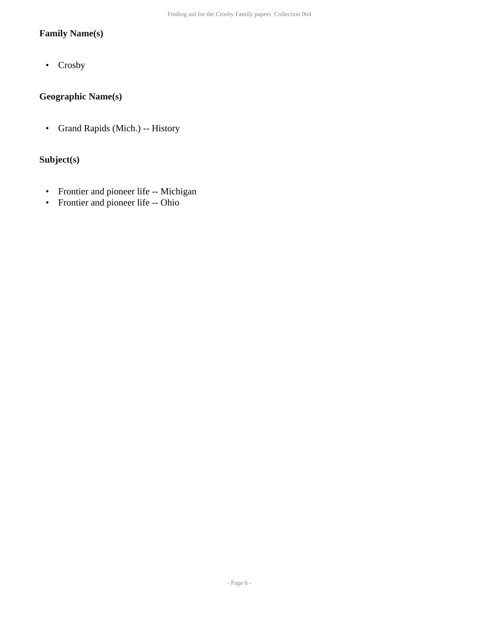#### **Family Name(s)**

• Crosby

#### **Geographic Name(s)**

• Grand Rapids (Mich.) -- History

#### **Subject(s)**

- Frontier and pioneer life -- Michigan
- Frontier and pioneer life -- Ohio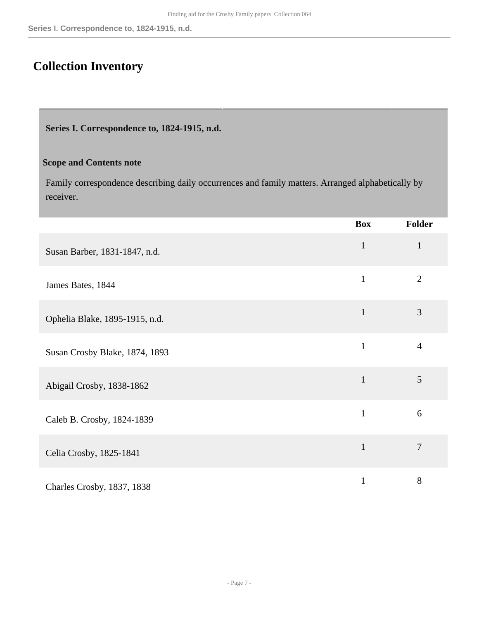## <span id="page-6-0"></span>**Collection Inventory**

<span id="page-6-1"></span>**Series I. Correspondence to, 1824-1915, n.d.** 

#### **Scope and Contents note**

Family correspondence describing daily occurrences and family matters. Arranged alphabetically by receiver.

|                                | <b>Box</b>   | <b>Folder</b>  |
|--------------------------------|--------------|----------------|
| Susan Barber, 1831-1847, n.d.  | $\mathbf{1}$ | $\mathbf{1}$   |
| James Bates, 1844              | $\mathbf{1}$ | $\overline{2}$ |
| Ophelia Blake, 1895-1915, n.d. | $\mathbf{1}$ | 3              |
| Susan Crosby Blake, 1874, 1893 | $\mathbf{1}$ | $\overline{4}$ |
| Abigail Crosby, 1838-1862      | $\mathbf{1}$ | 5              |
| Caleb B. Crosby, 1824-1839     | $\mathbf{1}$ | 6              |
| Celia Crosby, 1825-1841        | $\mathbf{1}$ | $\overline{7}$ |
| Charles Crosby, 1837, 1838     | $\mathbf{1}$ | 8              |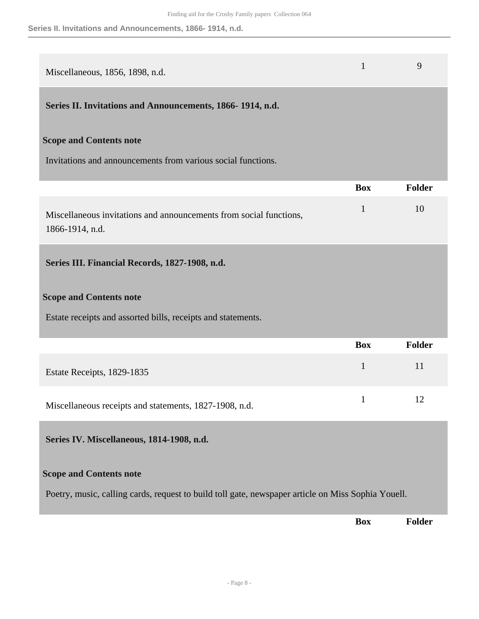<span id="page-7-2"></span><span id="page-7-1"></span><span id="page-7-0"></span>

| Miscellaneous, 1856, 1898, n.d.                                                                    | $\mathbf{1}$ | 9             |  |
|----------------------------------------------------------------------------------------------------|--------------|---------------|--|
| Series II. Invitations and Announcements, 1866-1914, n.d.                                          |              |               |  |
| <b>Scope and Contents note</b>                                                                     |              |               |  |
| Invitations and announcements from various social functions.                                       |              |               |  |
|                                                                                                    | <b>Box</b>   | <b>Folder</b> |  |
| Miscellaneous invitations and announcements from social functions,<br>1866-1914, n.d.              | $\mathbf{1}$ | 10            |  |
| Series III. Financial Records, 1827-1908, n.d.                                                     |              |               |  |
| <b>Scope and Contents note</b>                                                                     |              |               |  |
| Estate receipts and assorted bills, receipts and statements.                                       |              |               |  |
|                                                                                                    | <b>Box</b>   | <b>Folder</b> |  |
| Estate Receipts, 1829-1835                                                                         | $\mathbf{1}$ | 11            |  |
| Miscellaneous receipts and statements, 1827-1908, n.d.                                             | $\mathbf{1}$ | 12            |  |
| Series IV. Miscellaneous, 1814-1908, n.d.                                                          |              |               |  |
| <b>Scope and Contents note</b>                                                                     |              |               |  |
| Poetry, music, calling cards, request to build toll gate, newspaper article on Miss Sophia Youell. |              |               |  |
|                                                                                                    | <b>Box</b>   | <b>Folder</b> |  |